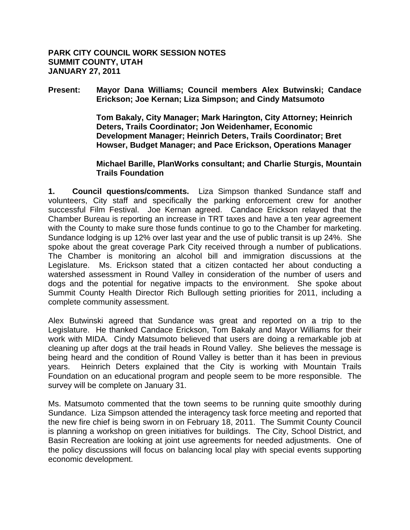### **PARK CITY COUNCIL WORK SESSION NOTES SUMMIT COUNTY, UTAH JANUARY 27, 2011**

**Present: Mayor Dana Williams; Council members Alex Butwinski; Candace Erickson; Joe Kernan; Liza Simpson; and Cindy Matsumoto** 

> **Tom Bakaly, City Manager; Mark Harington, City Attorney; Heinrich Deters, Trails Coordinator; Jon Weidenhamer, Economic Development Manager; Heinrich Deters, Trails Coordinator; Bret Howser, Budget Manager; and Pace Erickson, Operations Manager**

#### **Michael Barille, PlanWorks consultant; and Charlie Sturgis, Mountain Trails Foundation**

**1. Council questions/comments.** Liza Simpson thanked Sundance staff and volunteers, City staff and specifically the parking enforcement crew for another successful Film Festival. Joe Kernan agreed. Candace Erickson relayed that the Chamber Bureau is reporting an increase in TRT taxes and have a ten year agreement with the County to make sure those funds continue to go to the Chamber for marketing. Sundance lodging is up 12% over last year and the use of public transit is up 24%. She spoke about the great coverage Park City received through a number of publications. The Chamber is monitoring an alcohol bill and immigration discussions at the Legislature. Ms. Erickson stated that a citizen contacted her about conducting a watershed assessment in Round Valley in consideration of the number of users and dogs and the potential for negative impacts to the environment. She spoke about Summit County Health Director Rich Bullough setting priorities for 2011, including a complete community assessment.

Alex Butwinski agreed that Sundance was great and reported on a trip to the Legislature. He thanked Candace Erickson, Tom Bakaly and Mayor Williams for their work with MIDA. Cindy Matsumoto believed that users are doing a remarkable job at cleaning up after dogs at the trail heads in Round Valley. She believes the message is being heard and the condition of Round Valley is better than it has been in previous years. Heinrich Deters explained that the City is working with Mountain Trails Foundation on an educational program and people seem to be more responsible. The survey will be complete on January 31.

Ms. Matsumoto commented that the town seems to be running quite smoothly during Sundance. Liza Simpson attended the interagency task force meeting and reported that the new fire chief is being sworn in on February 18, 2011. The Summit County Council is planning a workshop on green initiatives for buildings. The City, School District, and Basin Recreation are looking at joint use agreements for needed adjustments. One of the policy discussions will focus on balancing local play with special events supporting economic development.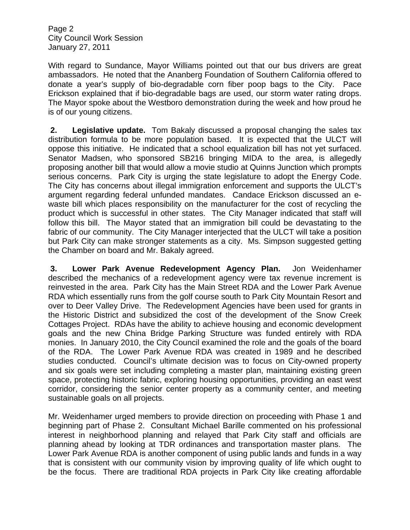Page 2 City Council Work Session January 27, 2011

With regard to Sundance, Mayor Williams pointed out that our bus drivers are great ambassadors. He noted that the Ananberg Foundation of Southern California offered to donate a year's supply of bio-degradable corn fiber poop bags to the City. Pace Erickson explained that if bio-degradable bags are used, our storm water rating drops. The Mayor spoke about the Westboro demonstration during the week and how proud he is of our young citizens.

 **2. Legislative update.** Tom Bakaly discussed a proposal changing the sales tax distribution formula to be more population based. It is expected that the ULCT will oppose this initiative. He indicated that a school equalization bill has not yet surfaced. Senator Madsen, who sponsored SB216 bringing MIDA to the area, is allegedly proposing another bill that would allow a movie studio at Quinns Junction which prompts serious concerns. Park City is urging the state legislature to adopt the Energy Code. The City has concerns about illegal immigration enforcement and supports the ULCT's argument regarding federal unfunded mandates. Candace Erickson discussed an ewaste bill which places responsibility on the manufacturer for the cost of recycling the product which is successful in other states. The City Manager indicated that staff will follow this bill. The Mayor stated that an immigration bill could be devastating to the fabric of our community. The City Manager interjected that the ULCT will take a position but Park City can make stronger statements as a city. Ms. Simpson suggested getting the Chamber on board and Mr. Bakaly agreed.

**3. Lower Park Avenue Redevelopment Agency Plan.** Jon Weidenhamer described the mechanics of a redevelopment agency were tax revenue increment is reinvested in the area. Park City has the Main Street RDA and the Lower Park Avenue RDA which essentially runs from the golf course south to Park City Mountain Resort and over to Deer Valley Drive. The Redevelopment Agencies have been used for grants in the Historic District and subsidized the cost of the development of the Snow Creek Cottages Project. RDAs have the ability to achieve housing and economic development goals and the new China Bridge Parking Structure was funded entirely with RDA monies. In January 2010, the City Council examined the role and the goals of the board of the RDA. The Lower Park Avenue RDA was created in 1989 and he described studies conducted. Council's ultimate decision was to focus on City-owned property and six goals were set including completing a master plan, maintaining existing green space, protecting historic fabric, exploring housing opportunities, providing an east west corridor, considering the senior center property as a community center, and meeting sustainable goals on all projects.

Mr. Weidenhamer urged members to provide direction on proceeding with Phase 1 and beginning part of Phase 2. Consultant Michael Barille commented on his professional interest in neighborhood planning and relayed that Park City staff and officials are planning ahead by looking at TDR ordinances and transportation master plans. The Lower Park Avenue RDA is another component of using public lands and funds in a way that is consistent with our community vision by improving quality of life which ought to be the focus. There are traditional RDA projects in Park City like creating affordable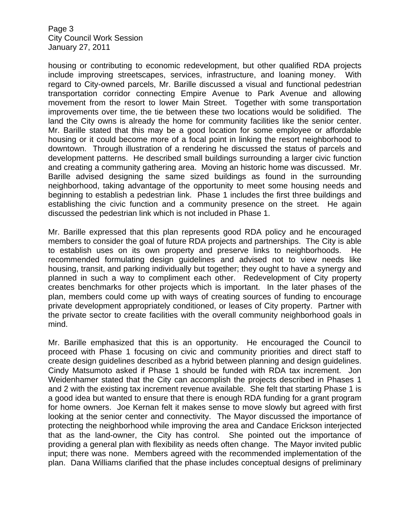Page 3 City Council Work Session January 27, 2011

housing or contributing to economic redevelopment, but other qualified RDA projects include improving streetscapes, services, infrastructure, and loaning money. With regard to City-owned parcels, Mr. Barille discussed a visual and functional pedestrian transportation corridor connecting Empire Avenue to Park Avenue and allowing movement from the resort to lower Main Street. Together with some transportation improvements over time, the tie between these two locations would be solidified. The land the City owns is already the home for community facilities like the senior center. Mr. Barille stated that this may be a good location for some employee or affordable housing or it could become more of a focal point in linking the resort neighborhood to downtown. Through illustration of a rendering he discussed the status of parcels and development patterns. He described small buildings surrounding a larger civic function and creating a community gathering area. Moving an historic home was discussed. Mr. Barille advised designing the same sized buildings as found in the surrounding neighborhood, taking advantage of the opportunity to meet some housing needs and beginning to establish a pedestrian link. Phase 1 includes the first three buildings and establishing the civic function and a community presence on the street. He again discussed the pedestrian link which is not included in Phase 1.

Mr. Barille expressed that this plan represents good RDA policy and he encouraged members to consider the goal of future RDA projects and partnerships. The City is able to establish uses on its own property and preserve links to neighborhoods. He recommended formulating design guidelines and advised not to view needs like housing, transit, and parking individually but together; they ought to have a synergy and planned in such a way to compliment each other. Redevelopment of City property creates benchmarks for other projects which is important. In the later phases of the plan, members could come up with ways of creating sources of funding to encourage private development appropriately conditioned, or leases of City property. Partner with the private sector to create facilities with the overall community neighborhood goals in mind.

Mr. Barille emphasized that this is an opportunity. He encouraged the Council to proceed with Phase 1 focusing on civic and community priorities and direct staff to create design guidelines described as a hybrid between planning and design guidelines. Cindy Matsumoto asked if Phase 1 should be funded with RDA tax increment. Jon Weidenhamer stated that the City can accomplish the projects described in Phases 1 and 2 with the existing tax increment revenue available. She felt that starting Phase 1 is a good idea but wanted to ensure that there is enough RDA funding for a grant program for home owners. Joe Kernan felt it makes sense to move slowly but agreed with first looking at the senior center and connectivity. The Mayor discussed the importance of protecting the neighborhood while improving the area and Candace Erickson interjected that as the land-owner, the City has control. She pointed out the importance of providing a general plan with flexibility as needs often change. The Mayor invited public input; there was none. Members agreed with the recommended implementation of the plan. Dana Williams clarified that the phase includes conceptual designs of preliminary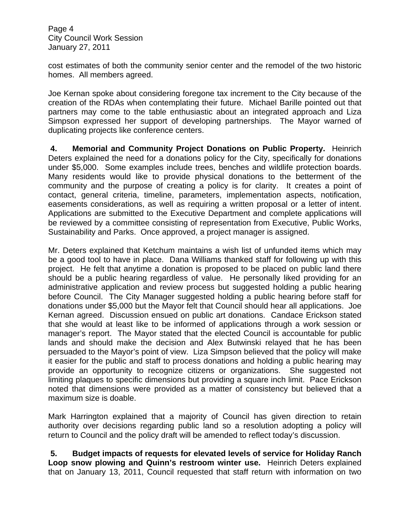Page 4 City Council Work Session January 27, 2011

cost estimates of both the community senior center and the remodel of the two historic homes. All members agreed.

Joe Kernan spoke about considering foregone tax increment to the City because of the creation of the RDAs when contemplating their future. Michael Barille pointed out that partners may come to the table enthusiastic about an integrated approach and Liza Simpson expressed her support of developing partnerships. The Mayor warned of duplicating projects like conference centers.

 **4. Memorial and Community Project Donations on Public Property.** Heinrich Deters explained the need for a donations policy for the City, specifically for donations under \$5,000. Some examples include trees, benches and wildlife protection boards. Many residents would like to provide physical donations to the betterment of the community and the purpose of creating a policy is for clarity. It creates a point of contact, general criteria, timeline, parameters, implementation aspects, notification, easements considerations, as well as requiring a written proposal or a letter of intent. Applications are submitted to the Executive Department and complete applications will be reviewed by a committee consisting of representation from Executive, Public Works, Sustainability and Parks. Once approved, a project manager is assigned.

Mr. Deters explained that Ketchum maintains a wish list of unfunded items which may be a good tool to have in place. Dana Williams thanked staff for following up with this project. He felt that anytime a donation is proposed to be placed on public land there should be a public hearing regardless of value. He personally liked providing for an administrative application and review process but suggested holding a public hearing before Council. The City Manager suggested holding a public hearing before staff for donations under \$5,000 but the Mayor felt that Council should hear all applications. Joe Kernan agreed. Discussion ensued on public art donations. Candace Erickson stated that she would at least like to be informed of applications through a work session or manager's report. The Mayor stated that the elected Council is accountable for public lands and should make the decision and Alex Butwinski relayed that he has been persuaded to the Mayor's point of view. Liza Simpson believed that the policy will make it easier for the public and staff to process donations and holding a public hearing may provide an opportunity to recognize citizens or organizations. She suggested not limiting plaques to specific dimensions but providing a square inch limit. Pace Erickson noted that dimensions were provided as a matter of consistency but believed that a maximum size is doable.

Mark Harrington explained that a majority of Council has given direction to retain authority over decisions regarding public land so a resolution adopting a policy will return to Council and the policy draft will be amended to reflect today's discussion.

 **5. Budget impacts of requests for elevated levels of service for Holiday Ranch Loop snow plowing and Quinn's restroom winter use.** Heinrich Deters explained that on January 13, 2011, Council requested that staff return with information on two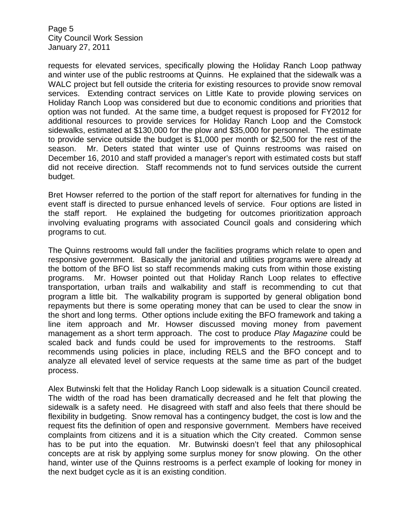Page 5 City Council Work Session January 27, 2011

requests for elevated services, specifically plowing the Holiday Ranch Loop pathway and winter use of the public restrooms at Quinns. He explained that the sidewalk was a WALC project but fell outside the criteria for existing resources to provide snow removal services. Extending contract services on Little Kate to provide plowing services on Holiday Ranch Loop was considered but due to economic conditions and priorities that option was not funded. At the same time, a budget request is proposed for FY2012 for additional resources to provide services for Holiday Ranch Loop and the Comstock sidewalks, estimated at \$130,000 for the plow and \$35,000 for personnel. The estimate to provide service outside the budget is \$1,000 per month or \$2,500 for the rest of the season. Mr. Deters stated that winter use of Quinns restrooms was raised on December 16, 2010 and staff provided a manager's report with estimated costs but staff did not receive direction. Staff recommends not to fund services outside the current budget.

Bret Howser referred to the portion of the staff report for alternatives for funding in the event staff is directed to pursue enhanced levels of service. Four options are listed in the staff report. He explained the budgeting for outcomes prioritization approach involving evaluating programs with associated Council goals and considering which programs to cut.

The Quinns restrooms would fall under the facilities programs which relate to open and responsive government. Basically the janitorial and utilities programs were already at the bottom of the BFO list so staff recommends making cuts from within those existing programs. Mr. Howser pointed out that Holiday Ranch Loop relates to effective transportation, urban trails and walkability and staff is recommending to cut that program a little bit. The walkability program is supported by general obligation bond repayments but there is some operating money that can be used to clear the snow in the short and long terms. Other options include exiting the BFO framework and taking a line item approach and Mr. Howser discussed moving money from pavement management as a short term approach. The cost to produce *Play Magazine* could be scaled back and funds could be used for improvements to the restrooms. Staff recommends using policies in place, including RELS and the BFO concept and to analyze all elevated level of service requests at the same time as part of the budget process.

Alex Butwinski felt that the Holiday Ranch Loop sidewalk is a situation Council created. The width of the road has been dramatically decreased and he felt that plowing the sidewalk is a safety need. He disagreed with staff and also feels that there should be flexibility in budgeting. Snow removal has a contingency budget, the cost is low and the request fits the definition of open and responsive government. Members have received complaints from citizens and it is a situation which the City created. Common sense has to be put into the equation. Mr. Butwinski doesn't feel that any philosophical concepts are at risk by applying some surplus money for snow plowing. On the other hand, winter use of the Quinns restrooms is a perfect example of looking for money in the next budget cycle as it is an existing condition.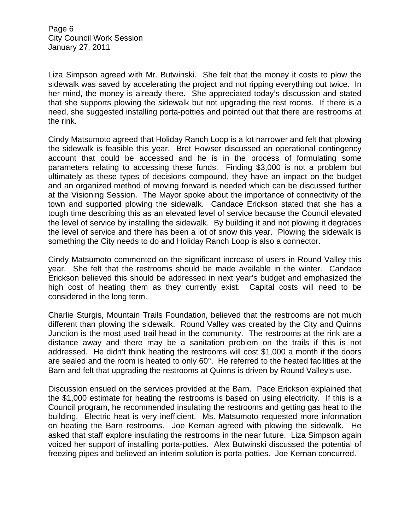Page 6 City Council Work Session January 27, 2011

Liza Simpson agreed with Mr. Butwinski. She felt that the money it costs to plow the sidewalk was saved by accelerating the project and not ripping everything out twice. In her mind, the money is already there. She appreciated today's discussion and stated that she supports plowing the sidewalk but not upgrading the rest rooms. If there is a need, she suggested installing porta-potties and pointed out that there are restrooms at the rink.

Cindy Matsumoto agreed that Holiday Ranch Loop is a lot narrower and felt that plowing the sidewalk is feasible this year. Bret Howser discussed an operational contingency account that could be accessed and he is in the process of formulating some parameters relating to accessing these funds. Finding \$3,000 is not a problem but ultimately as these types of decisions compound, they have an impact on the budget and an organized method of moving forward is needed which can be discussed further at the Visioning Session. The Mayor spoke about the importance of connectivity of the town and supported plowing the sidewalk. Candace Erickson stated that she has a tough time describing this as an elevated level of service because the Council elevated the level of service by installing the sidewalk. By building it and not plowing it degrades the level of service and there has been a lot of snow this year. Plowing the sidewalk is something the City needs to do and Holiday Ranch Loop is also a connector.

Cindy Matsumoto commented on the significant increase of users in Round Valley this year. She felt that the restrooms should be made available in the winter. Candace Erickson believed this should be addressed in next year's budget and emphasized the high cost of heating them as they currently exist. Capital costs will need to be considered in the long term.

Charlie Sturgis, Mountain Trails Foundation, believed that the restrooms are not much different than plowing the sidewalk. Round Valley was created by the City and Quinns Junction is the most used trail head in the community. The restrooms at the rink are a distance away and there may be a sanitation problem on the trails if this is not addressed. He didn't think heating the restrooms will cost \$1,000 a month if the doors are sealed and the room is heated to only 60°. He referred to the heated facilities at the Barn and felt that upgrading the restrooms at Quinns is driven by Round Valley's use.

Discussion ensued on the services provided at the Barn. Pace Erickson explained that the \$1,000 estimate for heating the restrooms is based on using electricity. If this is a Council program, he recommended insulating the restrooms and getting gas heat to the building. Electric heat is very inefficient. Ms. Matsumoto requested more information on heating the Barn restrooms. Joe Kernan agreed with plowing the sidewalk. He asked that staff explore insulating the restrooms in the near future. Liza Simpson again voiced her support of installing porta-potties. Alex Butwinski discussed the potential of freezing pipes and believed an interim solution is porta-potties. Joe Kernan concurred.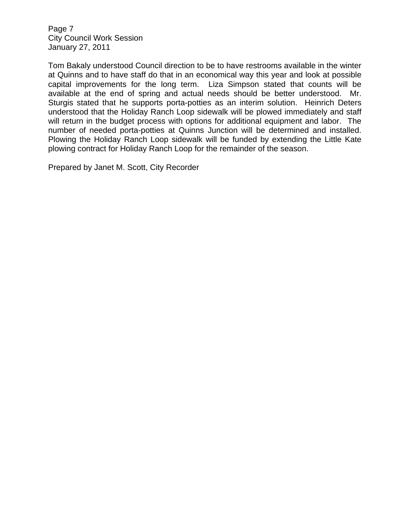Page 7 City Council Work Session January 27, 2011

Tom Bakaly understood Council direction to be to have restrooms available in the winter at Quinns and to have staff do that in an economical way this year and look at possible capital improvements for the long term. Liza Simpson stated that counts will be available at the end of spring and actual needs should be better understood. Mr. Sturgis stated that he supports porta-potties as an interim solution. Heinrich Deters understood that the Holiday Ranch Loop sidewalk will be plowed immediately and staff will return in the budget process with options for additional equipment and labor. The number of needed porta-potties at Quinns Junction will be determined and installed. Plowing the Holiday Ranch Loop sidewalk will be funded by extending the Little Kate plowing contract for Holiday Ranch Loop for the remainder of the season.

Prepared by Janet M. Scott, City Recorder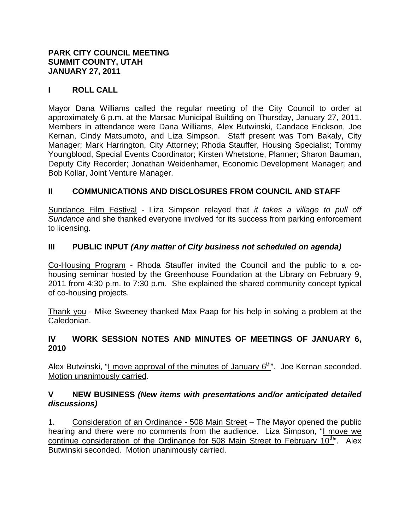### **PARK CITY COUNCIL MEETING SUMMIT COUNTY, UTAH JANUARY 27, 2011**

# **I ROLL CALL**

Mayor Dana Williams called the regular meeting of the City Council to order at approximately 6 p.m. at the Marsac Municipal Building on Thursday, January 27, 2011. Members in attendance were Dana Williams, Alex Butwinski, Candace Erickson, Joe Kernan, Cindy Matsumoto, and Liza Simpson. Staff present was Tom Bakaly, City Manager; Mark Harrington, City Attorney; Rhoda Stauffer, Housing Specialist; Tommy Youngblood, Special Events Coordinator; Kirsten Whetstone, Planner; Sharon Bauman, Deputy City Recorder; Jonathan Weidenhamer, Economic Development Manager; and Bob Kollar, Joint Venture Manager.

# **II COMMUNICATIONS AND DISCLOSURES FROM COUNCIL AND STAFF**

Sundance Film Festival - Liza Simpson relayed that *it takes a village to pull off Sundance* and she thanked everyone involved for its success from parking enforcement to licensing.

## **III PUBLIC INPUT** *(Any matter of City business not scheduled on agenda)*

Co-Housing Program - Rhoda Stauffer invited the Council and the public to a cohousing seminar hosted by the Greenhouse Foundation at the Library on February 9, 2011 from 4:30 p.m. to 7:30 p.m. She explained the shared community concept typical of co-housing projects.

Thank you - Mike Sweeney thanked Max Paap for his help in solving a problem at the Caledonian.

## **IV WORK SESSION NOTES AND MINUTES OF MEETINGS OF JANUARY 6, 2010**

Alex Butwinski, "<u>I move approval of the minutes of January 6<sup>th</sup>"</u>. Joe Kernan seconded. Motion unanimously carried.

### **V NEW BUSINESS** *(New items with presentations and/or anticipated detailed discussions)*

1. Consideration of an Ordinance - 508 Main Street – The Mayor opened the public hearing and there were no comments from the audience. Liza Simpson, "I move we continue consideration of the Ordinance for 508 Main Street to February 10<sup>th</sup>". Alex Butwinski seconded. Motion unanimously carried.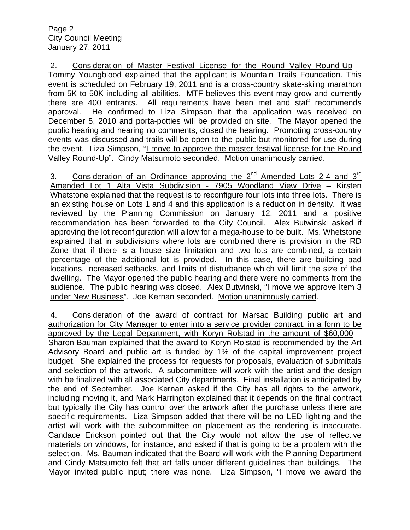2. Consideration of Master Festival License for the Round Valley Round-Up – Tommy Youngblood explained that the applicant is Mountain Trails Foundation. This event is scheduled on February 19, 2011 and is a cross-country skate-skiing marathon from 5K to 50K including all abilities. MTF believes this event may grow and currently there are 400 entrants. All requirements have been met and staff recommends approval. He confirmed to Liza Simpson that the application was received on December 5, 2010 and porta-potties will be provided on site. The Mayor opened the public hearing and hearing no comments, closed the hearing. Promoting cross-country events was discussed and trails will be open to the public but monitored for use during the event. Liza Simpson, "I move to approve the master festival license for the Round Valley Round-Up". Cindy Matsumoto seconded. Motion unanimously carried.

3. Consideration of an Ordinance approving the  $2^{nd}$  Amended Lots 2-4 and 3<sup>rd</sup> Amended Lot 1 Alta Vista Subdivision - 7905 Woodland View Drive – Kirsten Whetstone explained that the request is to reconfigure four lots into three lots. There is an existing house on Lots 1 and 4 and this application is a reduction in density. It was reviewed by the Planning Commission on January 12, 2011 and a positive recommendation has been forwarded to the City Council. Alex Butwinski asked if approving the lot reconfiguration will allow for a mega-house to be built. Ms. Whetstone explained that in subdivisions where lots are combined there is provision in the RD Zone that if there is a house size limitation and two lots are combined, a certain percentage of the additional lot is provided. In this case, there are building pad locations, increased setbacks, and limits of disturbance which will limit the size of the dwelling. The Mayor opened the public hearing and there were no comments from the audience. The public hearing was closed. Alex Butwinski, "I move we approve Item 3 under New Business". Joe Kernan seconded. Motion unanimously carried.

 4. Consideration of the award of contract for Marsac Building public art and authorization for City Manager to enter into a service provider contract, in a form to be approved by the Legal Department, with Koryn Rolstad in the amount of \$60,000 – Sharon Bauman explained that the award to Koryn Rolstad is recommended by the Art Advisory Board and public art is funded by 1% of the capital improvement project budget. She explained the process for requests for proposals, evaluation of submittals and selection of the artwork. A subcommittee will work with the artist and the design with be finalized with all associated City departments. Final installation is anticipated by the end of September. Joe Kernan asked if the City has all rights to the artwork, including moving it, and Mark Harrington explained that it depends on the final contract but typically the City has control over the artwork after the purchase unless there are specific requirements. Liza Simpson added that there will be no LED lighting and the artist will work with the subcommittee on placement as the rendering is inaccurate. Candace Erickson pointed out that the City would not allow the use of reflective materials on windows, for instance, and asked if that is going to be a problem with the selection. Ms. Bauman indicated that the Board will work with the Planning Department and Cindy Matsumoto felt that art falls under different guidelines than buildings. The Mayor invited public input; there was none. Liza Simpson, "I move we award the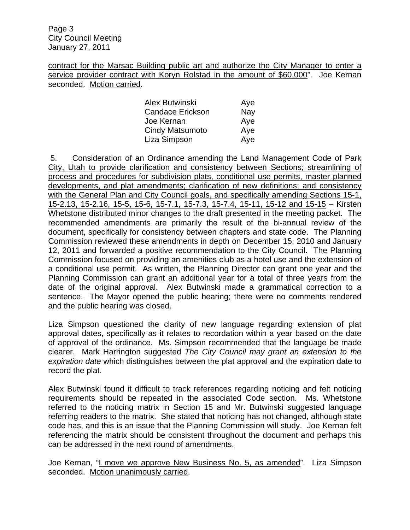Page 3 City Council Meeting January 27, 2011

contract for the Marsac Building public art and authorize the City Manager to enter a service provider contract with Koryn Rolstad in the amount of \$60,000". Joe Kernan seconded. Motion carried.

| Alex Butwinski          | Aye |
|-------------------------|-----|
| <b>Candace Erickson</b> | Nay |
| Joe Kernan              | Aye |
| <b>Cindy Matsumoto</b>  | Aye |
| Liza Simpson            | Ave |

 5. Consideration of an Ordinance amending the Land Management Code of Park City, Utah to provide clarification and consistency between Sections; streamlining of process and procedures for subdivision plats, conditional use permits, master planned developments, and plat amendments; clarification of new definitions; and consistency with the General Plan and City Council goals, and specifically amending Sections 15-1, 15-2.13, 15-2.16, 15-5, 15-6, 15-7.1, 15-7.3, 15-7.4, 15-11, 15-12 and 15-15 – Kirsten Whetstone distributed minor changes to the draft presented in the meeting packet. The recommended amendments are primarily the result of the bi-annual review of the document, specifically for consistency between chapters and state code. The Planning Commission reviewed these amendments in depth on December 15, 2010 and January 12, 2011 and forwarded a positive recommendation to the City Council. The Planning Commission focused on providing an amenities club as a hotel use and the extension of a conditional use permit. As written, the Planning Director can grant one year and the Planning Commission can grant an additional year for a total of three years from the date of the original approval. Alex Butwinski made a grammatical correction to a sentence. The Mayor opened the public hearing; there were no comments rendered and the public hearing was closed.

Liza Simpson questioned the clarity of new language regarding extension of plat approval dates, specifically as it relates to recordation within a year based on the date of approval of the ordinance. Ms. Simpson recommended that the language be made clearer. Mark Harrington suggested *The City Council may grant an extension to the expiration date* which distinguishes between the plat approval and the expiration date to record the plat.

Alex Butwinski found it difficult to track references regarding noticing and felt noticing requirements should be repeated in the associated Code section. Ms. Whetstone referred to the noticing matrix in Section 15 and Mr. Butwinski suggested language referring readers to the matrix. She stated that noticing has not changed, although state code has, and this is an issue that the Planning Commission will study. Joe Kernan felt referencing the matrix should be consistent throughout the document and perhaps this can be addressed in the next round of amendments.

Joe Kernan, "<u>I move we approve New Business No. 5, as amended</u>". Liza Simpson seconded. Motion unanimously carried.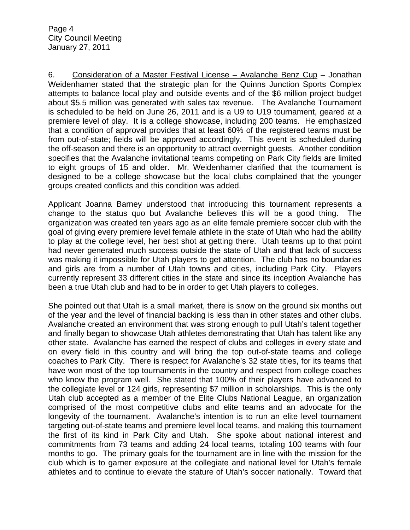6. Consideration of a Master Festival License – Avalanche Benz Cup – Jonathan Weidenhamer stated that the strategic plan for the Quinns Junction Sports Complex attempts to balance local play and outside events and of the \$6 million project budget about \$5.5 million was generated with sales tax revenue. The Avalanche Tournament is scheduled to be held on June 26, 2011 and is a U9 to U19 tournament, geared at a premiere level of play. It is a college showcase, including 200 teams. He emphasized that a condition of approval provides that at least 60% of the registered teams must be from out-of-state; fields will be approved accordingly. This event is scheduled during the off-season and there is an opportunity to attract overnight guests. Another condition specifies that the Avalanche invitational teams competing on Park City fields are limited to eight groups of 15 and older. Mr. Weidenhamer clarified that the tournament is designed to be a college showcase but the local clubs complained that the younger groups created conflicts and this condition was added.

Applicant Joanna Barney understood that introducing this tournament represents a change to the status quo but Avalanche believes this will be a good thing. The organization was created ten years ago as an elite female premiere soccer club with the goal of giving every premiere level female athlete in the state of Utah who had the ability to play at the college level, her best shot at getting there. Utah teams up to that point had never generated much success outside the state of Utah and that lack of success was making it impossible for Utah players to get attention. The club has no boundaries and girls are from a number of Utah towns and cities, including Park City. Players currently represent 33 different cities in the state and since its inception Avalanche has been a true Utah club and had to be in order to get Utah players to colleges.

She pointed out that Utah is a small market, there is snow on the ground six months out of the year and the level of financial backing is less than in other states and other clubs. Avalanche created an environment that was strong enough to pull Utah's talent together and finally began to showcase Utah athletes demonstrating that Utah has talent like any other state. Avalanche has earned the respect of clubs and colleges in every state and on every field in this country and will bring the top out-of-state teams and college coaches to Park City. There is respect for Avalanche's 32 state titles, for its teams that have won most of the top tournaments in the country and respect from college coaches who know the program well. She stated that 100% of their players have advanced to the collegiate level or 124 girls, representing \$7 million in scholarships. This is the only Utah club accepted as a member of the Elite Clubs National League, an organization comprised of the most competitive clubs and elite teams and an advocate for the longevity of the tournament. Avalanche's intention is to run an elite level tournament targeting out-of-state teams and premiere level local teams, and making this tournament the first of its kind in Park City and Utah. She spoke about national interest and commitments from 73 teams and adding 24 local teams, totaling 100 teams with four months to go. The primary goals for the tournament are in line with the mission for the club which is to garner exposure at the collegiate and national level for Utah's female athletes and to continue to elevate the stature of Utah's soccer nationally. Toward that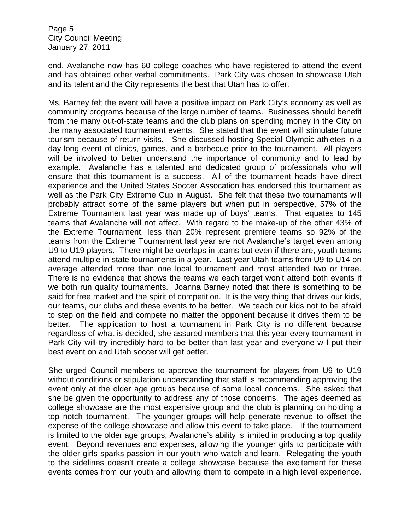Page 5 City Council Meeting January 27, 2011

end, Avalanche now has 60 college coaches who have registered to attend the event and has obtained other verbal commitments. Park City was chosen to showcase Utah and its talent and the City represents the best that Utah has to offer.

Ms. Barney felt the event will have a positive impact on Park City's economy as well as community programs because of the large number of teams. Businesses should benefit from the many out-of-state teams and the club plans on spending money in the City on the many associated tournament events. She stated that the event will stimulate future tourism because of return visits. She discussed hosting Special Olympic athletes in a day-long event of clinics, games, and a barbecue prior to the tournament. All players will be involved to better understand the importance of community and to lead by example. Avalanche has a talented and dedicated group of professionals who will ensure that this tournament is a success. All of the tournament heads have direct experience and the United States Soccer Assocation has endorsed this tournament as well as the Park City Extreme Cup in August. She felt that these two tournaments will probably attract some of the same players but when put in perspective, 57% of the Extreme Tournament last year was made up of boys' teams. That equates to 145 teams that Avalanche will not affect. With regard to the make-up of the other 43% of the Extreme Tournament, less than 20% represent premiere teams so 92% of the teams from the Extreme Tournament last year are not Avalanche's target even among U9 to U19 players. There might be overlaps in teams but even if there are, youth teams attend multiple in-state tournaments in a year. Last year Utah teams from U9 to U14 on average attended more than one local tournament and most attended two or three. There is no evidence that shows the teams we each target won't attend both events if we both run quality tournaments. Joanna Barney noted that there is something to be said for free market and the spirit of competition. It is the very thing that drives our kids, our teams, our clubs and these events to be better. We teach our kids not to be afraid to step on the field and compete no matter the opponent because it drives them to be better. The application to host a tournament in Park City is no different because regardless of what is decided, she assured members that this year every tournament in Park City will try incredibly hard to be better than last year and everyone will put their best event on and Utah soccer will get better.

She urged Council members to approve the tournament for players from U9 to U19 without conditions or stipulation understanding that staff is recommending approving the event only at the older age groups because of some local concerns. She asked that she be given the opportunity to address any of those concerns. The ages deemed as college showcase are the most expensive group and the club is planning on holding a top notch tournament. The younger groups will help generate revenue to offset the expense of the college showcase and allow this event to take place. If the tournament is limited to the older age groups, Avalanche's ability is limited in producing a top quality event. Beyond revenues and expenses, allowing the younger girls to participate with the older girls sparks passion in our youth who watch and learn. Relegating the youth to the sidelines doesn't create a college showcase because the excitement for these events comes from our youth and allowing them to compete in a high level experience.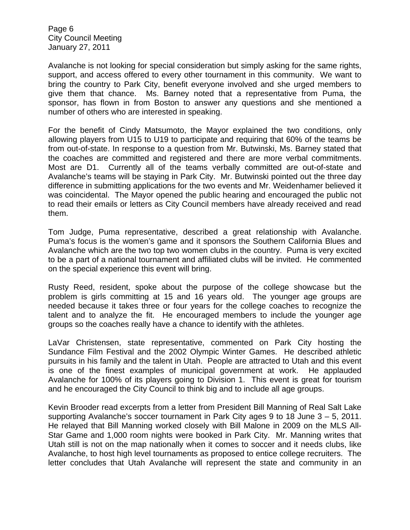Page 6 City Council Meeting January 27, 2011

Avalanche is not looking for special consideration but simply asking for the same rights, support, and access offered to every other tournament in this community. We want to bring the country to Park City, benefit everyone involved and she urged members to give them that chance. Ms. Barney noted that a representative from Puma, the sponsor, has flown in from Boston to answer any questions and she mentioned a number of others who are interested in speaking.

For the benefit of Cindy Matsumoto, the Mayor explained the two conditions, only allowing players from U15 to U19 to participate and requiring that 60% of the teams be from out-of-state. In response to a question from Mr. Butwinski, Ms. Barney stated that the coaches are committed and registered and there are more verbal commitments. Most are D1. Currently all of the teams verbally committed are out-of-state and Avalanche's teams will be staying in Park City. Mr. Butwinski pointed out the three day difference in submitting applications for the two events and Mr. Weidenhamer believed it was coincidental. The Mayor opened the public hearing and encouraged the public not to read their emails or letters as City Council members have already received and read them.

Tom Judge, Puma representative, described a great relationship with Avalanche. Puma's focus is the women's game and it sponsors the Southern California Blues and Avalanche which are the two top two women clubs in the country. Puma is very excited to be a part of a national tournament and affiliated clubs will be invited. He commented on the special experience this event will bring.

Rusty Reed, resident, spoke about the purpose of the college showcase but the problem is girls committing at 15 and 16 years old. The younger age groups are needed because it takes three or four years for the college coaches to recognize the talent and to analyze the fit. He encouraged members to include the younger age groups so the coaches really have a chance to identify with the athletes.

LaVar Christensen, state representative, commented on Park City hosting the Sundance Film Festival and the 2002 Olympic Winter Games. He described athletic pursuits in his family and the talent in Utah. People are attracted to Utah and this event is one of the finest examples of municipal government at work. He applauded Avalanche for 100% of its players going to Division 1. This event is great for tourism and he encouraged the City Council to think big and to include all age groups.

Kevin Brooder read excerpts from a letter from President Bill Manning of Real Salt Lake supporting Avalanche's soccer tournament in Park City ages 9 to 18 June 3 – 5, 2011. He relayed that Bill Manning worked closely with Bill Malone in 2009 on the MLS All-Star Game and 1,000 room nights were booked in Park City. Mr. Manning writes that Utah still is not on the map nationally when it comes to soccer and it needs clubs, like Avalanche, to host high level tournaments as proposed to entice college recruiters. The letter concludes that Utah Avalanche will represent the state and community in an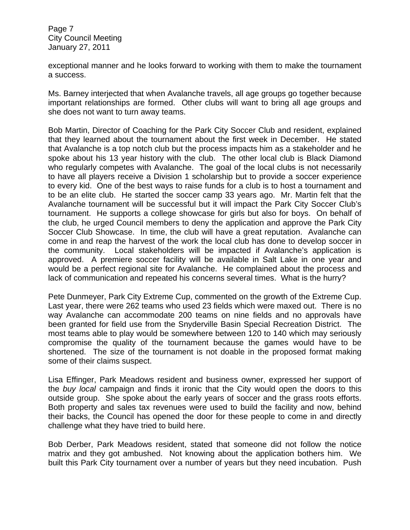Page 7 City Council Meeting January 27, 2011

exceptional manner and he looks forward to working with them to make the tournament a success.

Ms. Barney interjected that when Avalanche travels, all age groups go together because important relationships are formed. Other clubs will want to bring all age groups and she does not want to turn away teams.

Bob Martin, Director of Coaching for the Park City Soccer Club and resident, explained that they learned about the tournament about the first week in December. He stated that Avalanche is a top notch club but the process impacts him as a stakeholder and he spoke about his 13 year history with the club. The other local club is Black Diamond who regularly competes with Avalanche. The goal of the local clubs is not necessarily to have all players receive a Division 1 scholarship but to provide a soccer experience to every kid. One of the best ways to raise funds for a club is to host a tournament and to be an elite club. He started the soccer camp 33 years ago. Mr. Martin felt that the Avalanche tournament will be successful but it will impact the Park City Soccer Club's tournament. He supports a college showcase for girls but also for boys. On behalf of the club, he urged Council members to deny the application and approve the Park City Soccer Club Showcase. In time, the club will have a great reputation. Avalanche can come in and reap the harvest of the work the local club has done to develop soccer in the community. Local stakeholders will be impacted if Avalanche's application is approved. A premiere soccer facility will be available in Salt Lake in one year and would be a perfect regional site for Avalanche. He complained about the process and lack of communication and repeated his concerns several times. What is the hurry?

Pete Dunmeyer, Park City Extreme Cup, commented on the growth of the Extreme Cup. Last year, there were 262 teams who used 23 fields which were maxed out. There is no way Avalanche can accommodate 200 teams on nine fields and no approvals have been granted for field use from the Snyderville Basin Special Recreation District. The most teams able to play would be somewhere between 120 to 140 which may seriously compromise the quality of the tournament because the games would have to be shortened. The size of the tournament is not doable in the proposed format making some of their claims suspect.

Lisa Effinger, Park Meadows resident and business owner, expressed her support of the *buy local* campaign and finds it ironic that the City would open the doors to this outside group. She spoke about the early years of soccer and the grass roots efforts. Both property and sales tax revenues were used to build the facility and now, behind their backs, the Council has opened the door for these people to come in and directly challenge what they have tried to build here.

Bob Derber, Park Meadows resident, stated that someone did not follow the notice matrix and they got ambushed. Not knowing about the application bothers him. We built this Park City tournament over a number of years but they need incubation. Push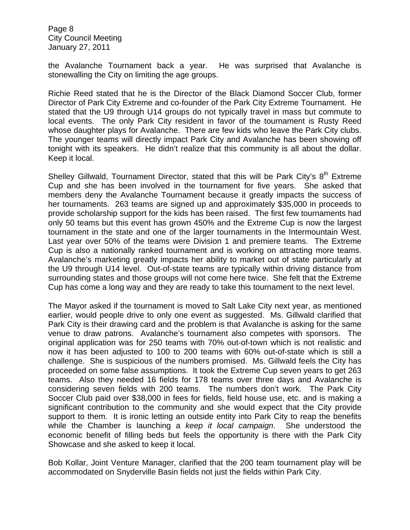Page 8 City Council Meeting January 27, 2011

the Avalanche Tournament back a year. He was surprised that Avalanche is stonewalling the City on limiting the age groups.

Richie Reed stated that he is the Director of the Black Diamond Soccer Club, former Director of Park City Extreme and co-founder of the Park City Extreme Tournament. He stated that the U9 through U14 groups do not typically travel in mass but commute to local events. The only Park City resident in favor of the tournament is Rusty Reed whose daughter plays for Avalanche. There are few kids who leave the Park City clubs. The younger teams will directly impact Park City and Avalanche has been showing off tonight with its speakers. He didn't realize that this community is all about the dollar. Keep it local.

Shelley Gillwald, Tournament Director, stated that this will be Park City's  $8<sup>th</sup>$  Extreme Cup and she has been involved in the tournament for five years. She asked that members deny the Avalanche Tournament because it greatly impacts the success of her tournaments. 263 teams are signed up and approximately \$35,000 in proceeds to provide scholarship support for the kids has been raised. The first few tournaments had only 50 teams but this event has grown 450% and the Extreme Cup is now the largest tournament in the state and one of the larger tournaments in the Intermountain West. Last year over 50% of the teams were Division 1 and premiere teams. The Extreme Cup is also a nationally ranked tournament and is working on attracting more teams. Avalanche's marketing greatly impacts her ability to market out of state particularly at the U9 through U14 level. Out-of-state teams are typically within driving distance from surrounding states and those groups will not come here twice. She felt that the Extreme Cup has come a long way and they are ready to take this tournament to the next level.

The Mayor asked if the tournament is moved to Salt Lake City next year, as mentioned earlier, would people drive to only one event as suggested. Ms. Gillwald clarified that Park City is their drawing card and the problem is that Avalanche is asking for the same venue to draw patrons. Avalanche's tournament also competes with sponsors. The original application was for 250 teams with 70% out-of-town which is not realistic and now it has been adjusted to 100 to 200 teams with 60% out-of-state which is still a challenge. She is suspicious of the numbers promised. Ms. Gillwald feels the City has proceeded on some false assumptions. It took the Extreme Cup seven years to get 263 teams. Also they needed 16 fields for 178 teams over three days and Avalanche is considering seven fields with 200 teams. The numbers don't work. The Park City Soccer Club paid over \$38,000 in fees for fields, field house use, etc. and is making a significant contribution to the community and she would expect that the City provide support to them. It is ironic letting an outside entity into Park City to reap the benefits while the Chamber is launching a *keep it local campaign*. She understood the economic benefit of filling beds but feels the opportunity is there with the Park City Showcase and she asked to keep it local.

Bob Kollar, Joint Venture Manager, clarified that the 200 team tournament play will be accommodated on Snyderville Basin fields not just the fields within Park City.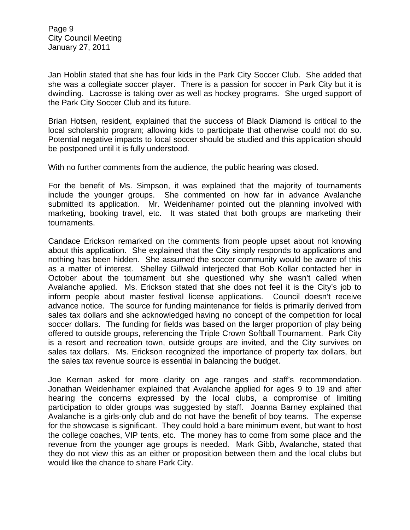Page 9 City Council Meeting January 27, 2011

Jan Hoblin stated that she has four kids in the Park City Soccer Club. She added that she was a collegiate soccer player. There is a passion for soccer in Park City but it is dwindling. Lacrosse is taking over as well as hockey programs. She urged support of the Park City Soccer Club and its future.

Brian Hotsen, resident, explained that the success of Black Diamond is critical to the local scholarship program; allowing kids to participate that otherwise could not do so. Potential negative impacts to local soccer should be studied and this application should be postponed until it is fully understood.

With no further comments from the audience, the public hearing was closed.

For the benefit of Ms. Simpson, it was explained that the majority of tournaments include the younger groups. She commented on how far in advance Avalanche submitted its application. Mr. Weidenhamer pointed out the planning involved with marketing, booking travel, etc. It was stated that both groups are marketing their tournaments.

Candace Erickson remarked on the comments from people upset about not knowing about this application. She explained that the City simply responds to applications and nothing has been hidden. She assumed the soccer community would be aware of this as a matter of interest. Shelley Gillwald interjected that Bob Kollar contacted her in October about the tournament but she questioned why she wasn't called when Avalanche applied. Ms. Erickson stated that she does not feel it is the City's job to inform people about master festival license applications. Council doesn't receive advance notice. The source for funding maintenance for fields is primarily derived from sales tax dollars and she acknowledged having no concept of the competition for local soccer dollars. The funding for fields was based on the larger proportion of play being offered to outside groups, referencing the Triple Crown Softball Tournament. Park City is a resort and recreation town, outside groups are invited, and the City survives on sales tax dollars. Ms. Erickson recognized the importance of property tax dollars, but the sales tax revenue source is essential in balancing the budget.

Joe Kernan asked for more clarity on age ranges and staff's recommendation. Jonathan Weidenhamer explained that Avalanche applied for ages 9 to 19 and after hearing the concerns expressed by the local clubs, a compromise of limiting participation to older groups was suggested by staff. Joanna Barney explained that Avalanche is a girls-only club and do not have the benefit of boy teams. The expense for the showcase is significant. They could hold a bare minimum event, but want to host the college coaches, VIP tents, etc. The money has to come from some place and the revenue from the younger age groups is needed. Mark Gibb, Avalanche, stated that they do not view this as an either or proposition between them and the local clubs but would like the chance to share Park City.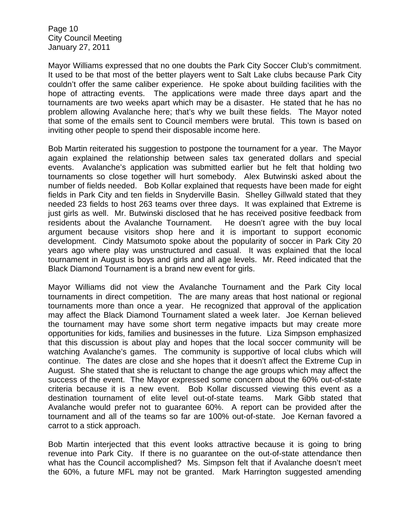Page 10 City Council Meeting January 27, 2011

Mayor Williams expressed that no one doubts the Park City Soccer Club's commitment. It used to be that most of the better players went to Salt Lake clubs because Park City couldn't offer the same caliber experience. He spoke about building facilities with the hope of attracting events. The applications were made three days apart and the tournaments are two weeks apart which may be a disaster. He stated that he has no problem allowing Avalanche here; that's why we built these fields. The Mayor noted that some of the emails sent to Council members were brutal. This town is based on inviting other people to spend their disposable income here.

Bob Martin reiterated his suggestion to postpone the tournament for a year. The Mayor again explained the relationship between sales tax generated dollars and special events. Avalanche's application was submitted earlier but he felt that holding two tournaments so close together will hurt somebody. Alex Butwinski asked about the number of fields needed. Bob Kollar explained that requests have been made for eight fields in Park City and ten fields in Snyderville Basin. Shelley Gillwald stated that they needed 23 fields to host 263 teams over three days. It was explained that Extreme is just girls as well. Mr. Butwinski disclosed that he has received positive feedback from residents about the Avalanche Tournament. He doesn't agree with the buy local argument because visitors shop here and it is important to support economic development. Cindy Matsumoto spoke about the popularity of soccer in Park City 20 years ago where play was unstructured and casual. It was explained that the local tournament in August is boys and girls and all age levels. Mr. Reed indicated that the Black Diamond Tournament is a brand new event for girls.

Mayor Williams did not view the Avalanche Tournament and the Park City local tournaments in direct competition. The are many areas that host national or regional tournaments more than once a year. He recognized that approval of the application may affect the Black Diamond Tournament slated a week later. Joe Kernan believed the tournament may have some short term negative impacts but may create more opportunities for kids, families and businesses in the future. Liza Simpson emphasized that this discussion is about play and hopes that the local soccer community will be watching Avalanche's games. The community is supportive of local clubs which will continue. The dates are close and she hopes that it doesn't affect the Extreme Cup in August. She stated that she is reluctant to change the age groups which may affect the success of the event. The Mayor expressed some concern about the 60% out-of-state criteria because it is a new event. Bob Kollar discussed viewing this event as a destination tournament of elite level out-of-state teams. Mark Gibb stated that Avalanche would prefer not to guarantee 60%. A report can be provided after the tournament and all of the teams so far are 100% out-of-state. Joe Kernan favored a carrot to a stick approach.

Bob Martin interjected that this event looks attractive because it is going to bring revenue into Park City. If there is no guarantee on the out-of-state attendance then what has the Council accomplished? Ms. Simpson felt that if Avalanche doesn't meet the 60%, a future MFL may not be granted. Mark Harrington suggested amending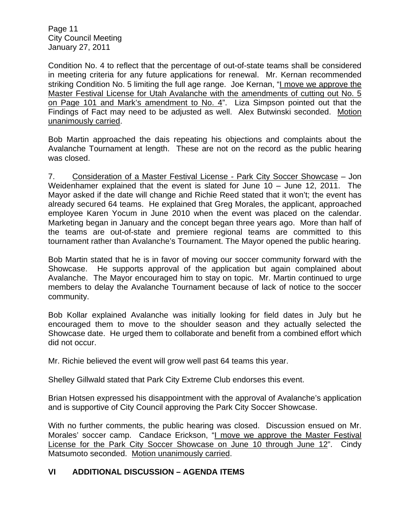Page 11 City Council Meeting January 27, 2011

Condition No. 4 to reflect that the percentage of out-of-state teams shall be considered in meeting criteria for any future applications for renewal. Mr. Kernan recommended striking Condition No. 5 limiting the full age range. Joe Kernan, "I move we approve the Master Festival License for Utah Avalanche with the amendments of cutting out No. 5 on Page 101 and Mark's amendment to No. 4". Liza Simpson pointed out that the Findings of Fact may need to be adjusted as well. Alex Butwinski seconded. Motion unanimously carried.

Bob Martin approached the dais repeating his objections and complaints about the Avalanche Tournament at length. These are not on the record as the public hearing was closed.

7. Consideration of a Master Festival License - Park City Soccer Showcase - Jon Weidenhamer explained that the event is slated for June 10 – June 12, 2011. The Mayor asked if the date will change and Richie Reed stated that it won't; the event has already secured 64 teams. He explained that Greg Morales, the applicant, approached employee Karen Yocum in June 2010 when the event was placed on the calendar. Marketing began in January and the concept began three years ago. More than half of the teams are out-of-state and premiere regional teams are committed to this tournament rather than Avalanche's Tournament. The Mayor opened the public hearing.

Bob Martin stated that he is in favor of moving our soccer community forward with the Showcase. He supports approval of the application but again complained about Avalanche. The Mayor encouraged him to stay on topic. Mr. Martin continued to urge members to delay the Avalanche Tournament because of lack of notice to the soccer community.

Bob Kollar explained Avalanche was initially looking for field dates in July but he encouraged them to move to the shoulder season and they actually selected the Showcase date. He urged them to collaborate and benefit from a combined effort which did not occur.

Mr. Richie believed the event will grow well past 64 teams this year.

Shelley Gillwald stated that Park City Extreme Club endorses this event.

Brian Hotsen expressed his disappointment with the approval of Avalanche's application and is supportive of City Council approving the Park City Soccer Showcase.

With no further comments, the public hearing was closed. Discussion ensued on Mr. Morales' soccer camp. Candace Erickson, "I move we approve the Master Festival License for the Park City Soccer Showcase on June 10 through June 12". Cindy Matsumoto seconded. Motion unanimously carried.

# **VI ADDITIONAL DISCUSSION – AGENDA ITEMS**